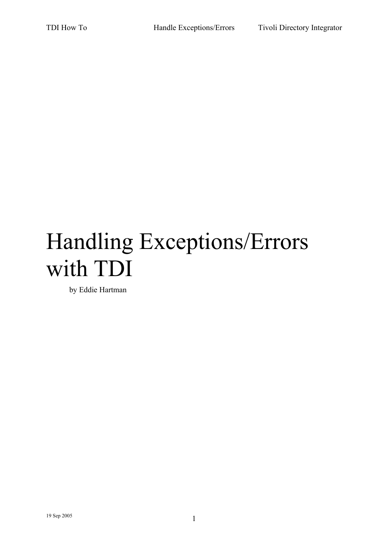# Handling Exceptions/Errors with TDI

by Eddie Hartman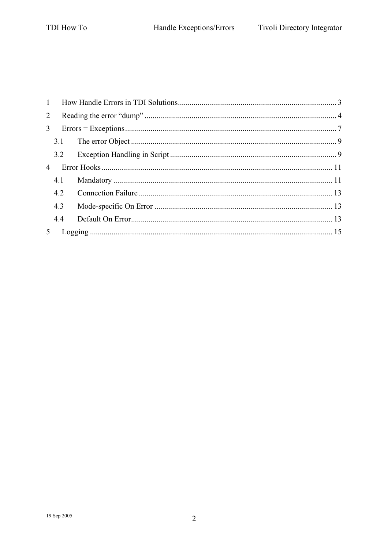| $\mathbf{1}$   |     |  |
|----------------|-----|--|
| 2              |     |  |
| $\mathcal{E}$  |     |  |
|                | 3.1 |  |
|                | 3.2 |  |
| $\overline{4}$ |     |  |
|                | 4.1 |  |
|                | 4.2 |  |
|                | 4.3 |  |
|                | 4.4 |  |
|                |     |  |
|                |     |  |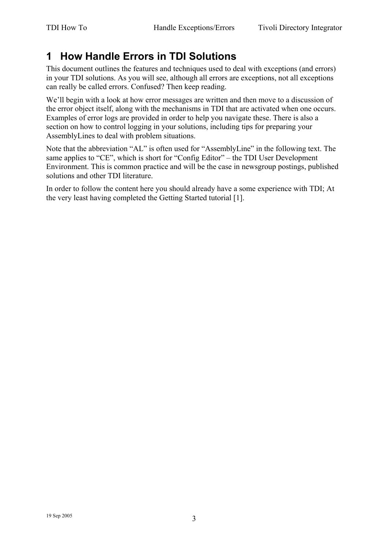## **1 How Handle Errors in TDI Solutions**

This document outlines the features and techniques used to deal with exceptions (and errors) in your TDI solutions. As you will see, although all errors are exceptions, not all exceptions can really be called errors. Confused? Then keep reading.

We'll begin with a look at how error messages are written and then move to a discussion of the error object itself, along with the mechanisms in TDI that are activated when one occurs. Examples of error logs are provided in order to help you navigate these. There is also a section on how to control logging in your solutions, including tips for preparing your AssemblyLines to deal with problem situations.

Note that the abbreviation "AL" is often used for "AssemblyLine" in the following text. The same applies to "CE", which is short for "Config Editor" – the TDI User Development Environment. This is common practice and will be the case in newsgroup postings, published solutions and other TDI literature.

In order to follow the content here you should already have a some experience with TDI; At the very least having completed the Getting Started tutorial [1].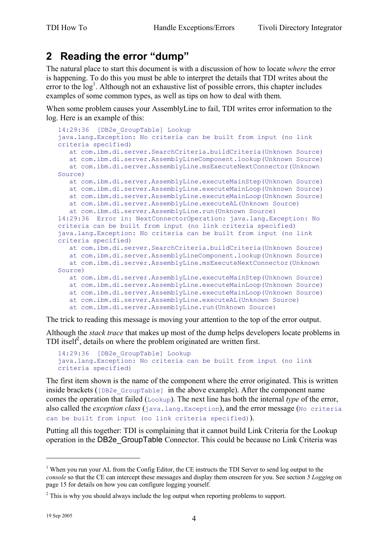## **2 Reading the error "dump"**

The natural place to start this document is with a discussion of how to locate *where* the error is happening. To do this you must be able to interpret the details that TDI writes about the error to the  $\log<sup>1</sup>$ . Although not an exhaustive list of possible errors, this chapter includes examples of some common types, as well as tips on how to deal with them.

When some problem causes your AssemblyLine to fail, TDI writes error information to the log. Here is an example of this:

```
14:29:36 [DB2e_GroupTable] Lookup 
java.lang.Exception: No criteria can be built from input (no link 
criteria specified) 
   at com.ibm.di.server.SearchCriteria.buildCriteria(Unknown Source) 
   at com.ibm.di.server.AssemblyLineComponent.lookup(Unknown Source) 
   at com.ibm.di.server.AssemblyLine.msExecuteNextConnector(Unknown 
Source) 
   at com.ibm.di.server.AssemblyLine.executeMainStep(Unknown Source) 
   at com.ibm.di.server.AssemblyLine.executeMainLoop(Unknown Source) 
   at com.ibm.di.server.AssemblyLine.executeMainLoop(Unknown Source) 
   at com.ibm.di.server.AssemblyLine.executeAL(Unknown Source) 
   at com.ibm.di.server.AssemblyLine.run(Unknown Source) 
14:29:36 Error in: NextConnectorOperation: java.lang.Exception: No 
criteria can be built from input (no link criteria specified) 
java.lang.Exception: No criteria can be built from input (no link 
criteria specified) 
    at com.ibm.di.server.SearchCriteria.buildCriteria(Unknown Source) 
   at com.ibm.di.server.AssemblyLineComponent.lookup(Unknown Source) 
   at com.ibm.di.server.AssemblyLine.msExecuteNextConnector(Unknown 
Source) 
   at com.ibm.di.server.AssemblyLine.executeMainStep(Unknown Source) 
   at com.ibm.di.server.AssemblyLine.executeMainLoop(Unknown Source) 
   at com.ibm.di.server.AssemblyLine.executeMainLoop(Unknown Source) 
    at com.ibm.di.server.AssemblyLine.executeAL(Unknown Source) 
    at com.ibm.di.server.AssemblyLine.run(Unknown Source)
```
The trick to reading this message is moving your attention to the top of the error output.

Although the *stack trace* that makes up most of the dump helps developers locate problems in TDI itself<sup>2</sup>, details on where the problem originated are written first.

```
14:29:36 [DB2e_GroupTable] Lookup 
java.lang.Exception: No criteria can be built from input (no link 
criteria specified)
```
The first item shown is the name of the component where the error originated. This is written inside brackets ( $[DB2e-GroupTable]$  in the above example). After the component name comes the operation that failed (Lookup). The next line has both the internal *type* of the error, also called the *exception class* (java.lang.Exception), and the error message (No criteria can be built from input (no link criteria specified)).

Putting all this together: TDI is complaining that it cannot build Link Criteria for the Lookup operation in the DB2e\_GroupTable Connector. This could be because no Link Criteria was

 $1$  When you run your AL from the Config Editor, the CE instructs the TDI Server to send log output to the *console* so that the CE can intercept these messages and display them onscreen for you. See section *5 Logging* on page 15 for details on how you can configure logging yourself.

 $2^2$  This is why you should always include the log output when reporting problems to support.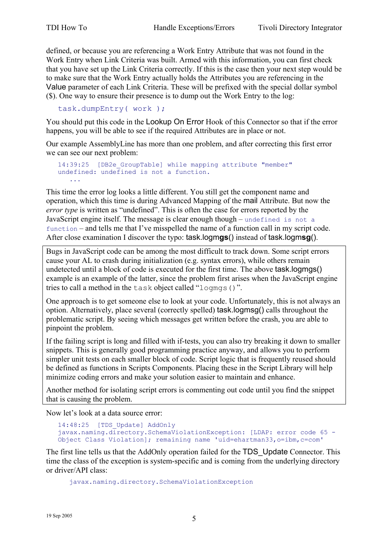defined, or because you are referencing a Work Entry Attribute that was not found in the Work Entry when Link Criteria was built. Armed with this information, you can first check that you have set up the Link Criteria correctly. If this is the case then your next step would be to make sure that the Work Entry actually holds the Attributes you are referencing in the Value parameter of each Link Criteria. These will be prefixed with the special dollar symbol (\$). One way to ensure their presence is to dump out the Work Entry to the log:

```
task.dumpEntry( work );
```
You should put this code in the Lookup On Error Hook of this Connector so that if the error happens, you will be able to see if the required Attributes are in place or not.

Our example AssemblyLine has more than one problem, and after correcting this first error we can see our next problem:

```
14:39:25 [DB2e_GroupTable] while mapping attribute "member" 
undefined: undefined is not a function. 
 ...
```
This time the error log looks a little different. You still get the component name and operation, which this time is during Advanced Mapping of the mail Attribute. But now the *error type* is written as "undefined". This is often the case for errors reported by the JavaScript engine itself. The message is clear enough though – undefined is not a function – and tells me that I've misspelled the name of a function call in my script code. After close examination I discover the typo: task.logm**gs**() instead of task.logm**sg**().

Bugs in JavaScript code can be among the most difficult to track down. Some script errors cause your AL to crash during initialization (e.g. syntax errors), while others remain undetected until a block of code is executed for the first time. The above task.logmgs() example is an example of the latter, since the problem first arises when the JavaScript engine tries to call a method in the task object called "logmgs()".

One approach is to get someone else to look at your code. Unfortunately, this is not always an option. Alternatively, place several (correctly spelled) task.logmsg() calls throughout the problematic script. By seeing which messages get written before the crash, you are able to pinpoint the problem.

If the failing script is long and filled with if-tests, you can also try breaking it down to smaller snippets. This is generally good programming practice anyway, and allows you to perform simpler unit tests on each smaller block of code. Script logic that is frequently reused should be defined as functions in Scripts Components. Placing these in the Script Library will help minimize coding errors and make your solution easier to maintain and enhance.

Another method for isolating script errors is commenting out code until you find the snippet that is causing the problem.

Now let's look at a data source error:

```
14:48:25 [TDS_Update] AddOnly 
javax.naming.directory.SchemaViolationException: [LDAP: error code 65 - 
Object Class Violation]; remaining name 'uid=ehartman33,o=ibm,c=com'
```
The first line tells us that the AddOnly operation failed for the TDS\_Update Connector. This time the class of the exception is system-specific and is coming from the underlying directory or driver/API class:

javax.naming.directory.SchemaViolationException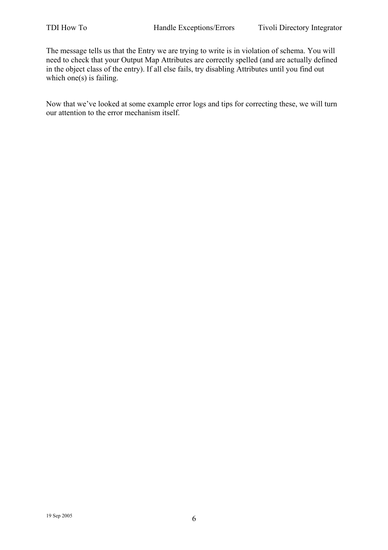The message tells us that the Entry we are trying to write is in violation of schema. You will need to check that your Output Map Attributes are correctly spelled (and are actually defined in the object class of the entry). If all else fails, try disabling Attributes until you find out which one $(s)$  is failing.

Now that we've looked at some example error logs and tips for correcting these, we will turn our attention to the error mechanism itself.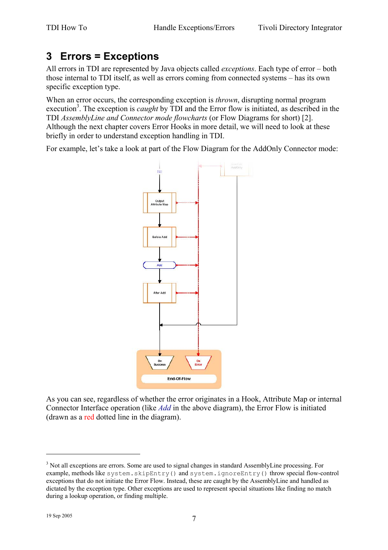## **3 Errors = Exceptions**

All errors in TDI are represented by Java objects called *exceptions*. Each type of error – both those internal to TDI itself, as well as errors coming from connected systems – has its own specific exception type.

When an error occurs, the corresponding exception is *thrown*, disrupting normal program execution<sup>3</sup>. The exception is *caught* by TDI and the Error flow is initiated, as described in the TDI *AssemblyLine and Connector mode flowcharts* (or Flow Diagrams for short) [2]. Although the next chapter covers Error Hooks in more detail, we will need to look at these briefly in order to understand exception handling in TDI.

For example, let's take a look at part of the Flow Diagram for the AddOnly Connector mode:



As you can see, regardless of whether the error originates in a Hook, Attribute Map or internal Connector Interface operation (like *Add* in the above diagram), the Error Flow is initiated (drawn as a red dotted line in the diagram).

<u>.</u>

<sup>&</sup>lt;sup>3</sup> Not all exceptions are errors. Some are used to signal changes in standard AssemblyLine processing. For example, methods like system.skipEntry() and system.ignoreEntry() throw special flow-control exceptions that do not initiate the Error Flow. Instead, these are caught by the AssemblyLine and handled as dictated by the exception type. Other exceptions are used to represent special situations like finding no match during a lookup operation, or finding multiple.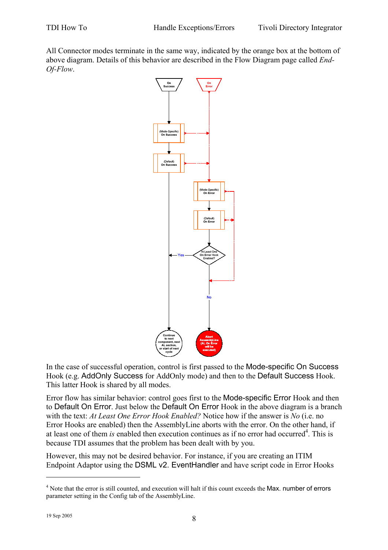All Connector modes terminate in the same way, indicated by the orange box at the bottom of above diagram. Details of this behavior are described in the Flow Diagram page called *End-Of-Flow*.



In the case of successful operation, control is first passed to the Mode-specific On Success Hook (e.g. AddOnly Success for AddOnly mode) and then to the Default Success Hook. This latter Hook is shared by all modes.

Error flow has similar behavior: control goes first to the Mode-specific Error Hook and then to Default On Error. Just below the Default On Error Hook in the above diagram is a branch with the text: *At Least One Error Hook Enabled?* Notice how if the answer is *No* (i.e. no Error Hooks are enabled) then the AssemblyLine aborts with the error. On the other hand, if at least one of them *is* enabled then execution continues as if no error had occurred<sup>4</sup>. This is because TDI assumes that the problem has been dealt with by you.

However, this may not be desired behavior. For instance, if you are creating an ITIM Endpoint Adaptor using the DSML v2. EventHandler and have script code in Error Hooks

<u>.</u>

<sup>&</sup>lt;sup>4</sup> Note that the error is still counted, and execution will halt if this count exceeds the Max. number of errors parameter setting in the Config tab of the AssemblyLine.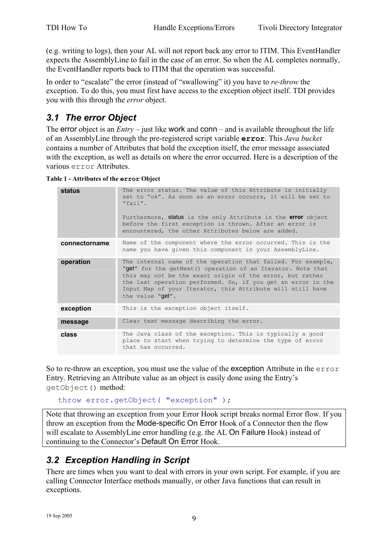(e.g. writing to logs), then your AL will not report back any error to ITIM. This EventHandler expects the AssemblyLine to fail in the case of an error. So when the AL completes normally, the EventHandler reports back to ITIM that the operation was successful.

In order to "escalate" the error (instead of "swallowing" it) you have to *re-throw* the exception. To do this, you must first have access to the exception object itself. TDI provides you with this through the *error* object.

#### *3.1 The error Object*

The error object is an  $Entry$  – just like work and conn – and is available throughout the life of an AssemblyLine through the pre-registered script variable **error**. This *Java bucket* contains a number of Attributes that hold the exception itself, the error message associated with the exception, as well as details on where the error occurred. Here is a description of the various error Attributes.

|  |  | Table 1 - Attributes of the error Object |  |  |  |  |
|--|--|------------------------------------------|--|--|--|--|
|--|--|------------------------------------------|--|--|--|--|

| <b>status</b> | The error status. The value of this Attribute is initially                                                                                                                                                                                                                                                                                 |
|---------------|--------------------------------------------------------------------------------------------------------------------------------------------------------------------------------------------------------------------------------------------------------------------------------------------------------------------------------------------|
|               | set to "ok". As soon as an error occurrs, it will be set to<br>"fail".                                                                                                                                                                                                                                                                     |
|               | Furthermore, status is the only Attribute in the error object<br>before the first exception is thrown. After an error is<br>encountered, the other Attributes below are added.                                                                                                                                                             |
| connectorname | Name of the component where the error occurred. This is the<br>name you have given this component in your AssemblyLine.                                                                                                                                                                                                                    |
| operation     | The internal name of the operation that failed. For example,<br>"get" for the getNext() operation of an Iterator. Note that<br>this may not be the exact origin of the error, but rather<br>the last operation performed. So, if you get an error in the<br>Input Map of your Iterator, this Attribute will still have<br>the value "get". |
| exception     | This is the exception object itself.                                                                                                                                                                                                                                                                                                       |
| message       | Clear text message describing the error.                                                                                                                                                                                                                                                                                                   |
| class         | The Java class of the exception. This is typically a good<br>place to start when trying to determine the type of error<br>that has occurred.                                                                                                                                                                                               |

So to re-throw an exception, you must use the value of the exception Attribute in the error Entry. Retrieving an Attribute value as an object is easily done using the Entry's getObject() method:

throw error.getObject( "exception" );

Note that throwing an exception from your Error Hook script breaks normal Error flow. If you throw an exception from the Mode-specific On Error Hook of a Connector then the flow will escalate to Assembly Line error handling (e.g. the AL On Failure Hook) instead of continuing to the Connector's Default On Error Hook.

#### *3.2 Exception Handling in Script*

There are times when you want to deal with errors in your own script. For example, if you are calling Connector Interface methods manually, or other Java functions that can result in exceptions.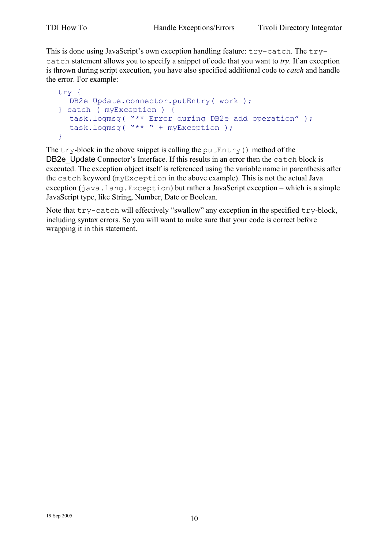This is done using JavaScript's own exception handling feature: try-catch. The trycatch statement allows you to specify a snippet of code that you want to *try*. If an exception is thrown during script execution, you have also specified additional code to *catch* and handle the error. For example:

```
try { 
  DB2e Update.connector.putEntry( work );
} catch ( myException ) { 
   task.logmsg( "** Error during DB2e add operation" ); 
   task.logmsg( "** " + myException ); 
}
```
The  $try$ -block in the above snippet is calling the putEntry() method of the DB2e Update Connector's Interface. If this results in an error then the catch block is executed. The exception object itself is referenced using the variable name in parenthesis after the catch keyword (myException in the above example). This is not the actual Java exception (java.lang.Exception) but rather a JavaScript exception – which is a simple JavaScript type, like String, Number, Date or Boolean.

Note that try-catch will effectively "swallow" any exception in the specified try-block, including syntax errors. So you will want to make sure that your code is correct before wrapping it in this statement.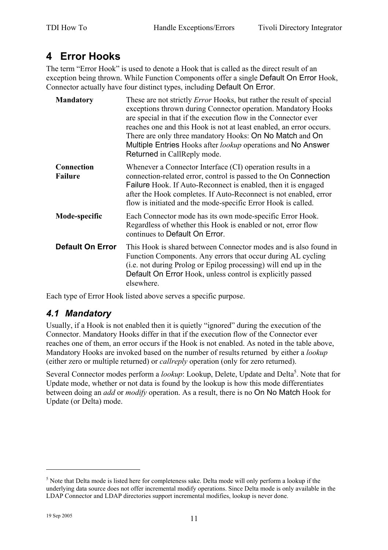## **4 Error Hooks**

The term "Error Hook" is used to denote a Hook that is called as the direct result of an exception being thrown. While Function Components offer a single Default On Error Hook, Connector actually have four distinct types, including Default On Error.

| <b>Mandatory</b>             | These are not strictly <i>Error</i> Hooks, but rather the result of special<br>exceptions thrown during Connector operation. Mandatory Hooks<br>are special in that if the execution flow in the Connector ever<br>reaches one and this Hook is not at least enabled, an error occurs.<br>There are only three mandatory Hooks: On No Match and On<br>Multiple Entries Hooks after <i>lookup</i> operations and No Answer<br>Returned in CallReply mode. |
|------------------------------|----------------------------------------------------------------------------------------------------------------------------------------------------------------------------------------------------------------------------------------------------------------------------------------------------------------------------------------------------------------------------------------------------------------------------------------------------------|
| Connection<br><b>Failure</b> | Whenever a Connector Interface (CI) operation results in a<br>connection-related error, control is passed to the On Connection<br>Failure Hook. If Auto-Reconnect is enabled, then it is engaged<br>after the Hook completes. If Auto-Reconnect is not enabled, error<br>flow is initiated and the mode-specific Error Hook is called.                                                                                                                   |
| Mode-specific                | Each Connector mode has its own mode-specific Error Hook.<br>Regardless of whether this Hook is enabled or not, error flow<br>continues to Default On Error.                                                                                                                                                                                                                                                                                             |
| <b>Default On Error</b>      | This Hook is shared between Connector modes and is also found in<br>Function Components. Any errors that occur during AL cycling<br>(i.e. not during Prolog or Epilog processing) will end up in the<br>Default On Error Hook, unless control is explicitly passed<br>elsewhere.                                                                                                                                                                         |

Each type of Error Hook listed above serves a specific purpose.

#### *4.1 Mandatory*

Usually, if a Hook is not enabled then it is quietly "ignored" during the execution of the Connector. Mandatory Hooks differ in that if the execution flow of the Connector ever reaches one of them, an error occurs if the Hook is not enabled. As noted in the table above, Mandatory Hooks are invoked based on the number of results returned by either a *lookup* (either zero or multiple returned) or *callreply* operation (only for zero returned).

Several Connector modes perform a *lookup*: Lookup, Delete, Update and Delta<sup>5</sup>. Note that for Update mode, whether or not data is found by the lookup is how this mode differentiates between doing an *add* or *modify* operation. As a result, there is no On No Match Hook for Update (or Delta) mode.

<sup>&</sup>lt;sup>5</sup> Note that Delta mode is listed here for completeness sake. Delta mode will only perform a lookup if the underlying data source does not offer incremental modify operations. Since Delta mode is only available in the LDAP Connector and LDAP directories support incremental modifies, lookup is never done.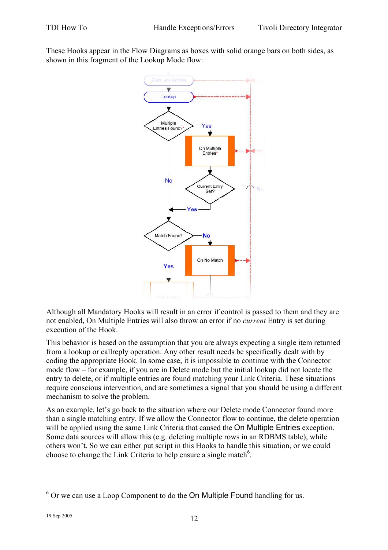These Hooks appear in the Flow Diagrams as boxes with solid orange bars on both sides, as shown in this fragment of the Lookup Mode flow:



Although all Mandatory Hooks will result in an error if control is passed to them and they are not enabled, On Multiple Entries will also throw an error if no *current* Entry is set during execution of the Hook.

This behavior is based on the assumption that you are always expecting a single item returned from a lookup or callreply operation. Any other result needs be specifically dealt with by coding the appropriate Hook. In some case, it is impossible to continue with the Connector mode flow – for example, if you are in Delete mode but the initial lookup did not locate the entry to delete, or if multiple entries are found matching your Link Criteria. These situations require conscious intervention, and are sometimes a signal that you should be using a different mechanism to solve the problem.

As an example, let's go back to the situation where our Delete mode Connector found more than a single matching entry. If we allow the Connector flow to continue, the delete operation will be applied using the same Link Criteria that caused the On Multiple Entries exception. Some data sources will allow this (e.g. deleting multiple rows in an RDBMS table), while others won't. So we can either put script in this Hooks to handle this situation, or we could choose to change the Link Criteria to help ensure a single match<sup>6</sup>.

 $6$  Or we can use a Loop Component to do the On Multiple Found handling for us.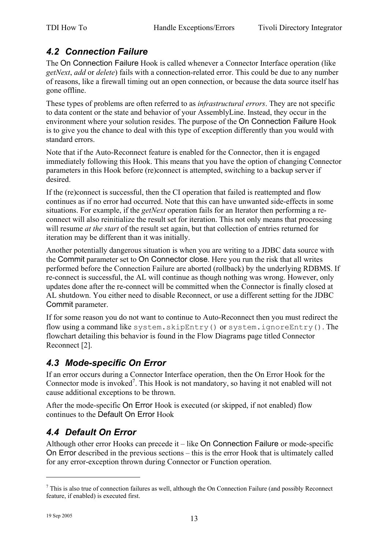### *4.2 Connection Failure*

The On Connection Failure Hook is called whenever a Connector Interface operation (like *getNext*, *add* or *delete*) fails with a connection-related error. This could be due to any number of reasons, like a firewall timing out an open connection, or because the data source itself has gone offline.

These types of problems are often referred to as *infrastructural errors*. They are not specific to data content or the state and behavior of your AssemblyLine. Instead, they occur in the environment where your solution resides. The purpose of the On Connection Failure Hook is to give you the chance to deal with this type of exception differently than you would with standard errors.

Note that if the Auto-Reconnect feature is enabled for the Connector, then it is engaged immediately following this Hook. This means that you have the option of changing Connector parameters in this Hook before (re)connect is attempted, switching to a backup server if desired.

If the (re)connect is successful, then the CI operation that failed is reattempted and flow continues as if no error had occurred. Note that this can have unwanted side-effects in some situations. For example, if the *getNext* operation fails for an Iterator then performing a reconnect will also reinitialize the result set for iteration. This not only means that processing will resume *at the start* of the result set again, but that collection of entries returned for iteration may be different than it was initially.

Another potentially dangerous situation is when you are writing to a JDBC data source with the Commit parameter set to On Connector close. Here you run the risk that all writes performed before the Connection Failure are aborted (rollback) by the underlying RDBMS. If re-connect is successful, the AL will continue as though nothing was wrong. However, only updates done after the re-connect will be committed when the Connector is finally closed at AL shutdown. You either need to disable Reconnect, or use a different setting for the JDBC Commit parameter.

If for some reason you do not want to continue to Auto-Reconnect then you must redirect the flow using a command like system.skipEntry() or system.ignoreEntry(). The flowchart detailing this behavior is found in the Flow Diagrams page titled Connector Reconnect [2].

#### *4.3 Mode-specific On Error*

If an error occurs during a Connector Interface operation, then the On Error Hook for the Connector mode is invoked<sup>7</sup>. This Hook is not mandatory, so having it not enabled will not cause additional exceptions to be thrown.

After the mode-specific On Error Hook is executed (or skipped, if not enabled) flow continues to the Default On Error Hook

## *4.4 Default On Error*

Although other error Hooks can precede it – like On Connection Failure or mode-specific On Error described in the previous sections – this is the error Hook that is ultimately called for any error-exception thrown during Connector or Function operation.

 $<sup>7</sup>$  This is also true of connection failures as well, although the On Connection Failure (and possibly Reconnect</sup> feature, if enabled) is executed first.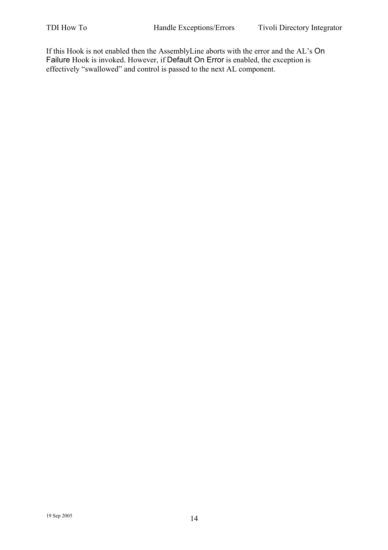If this Hook is not enabled then the AssemblyLine aborts with the error and the AL's On Failure Hook is invoked. However, if Default On Error is enabled, the exception is effectively "swallowed" and control is passed to the next AL component.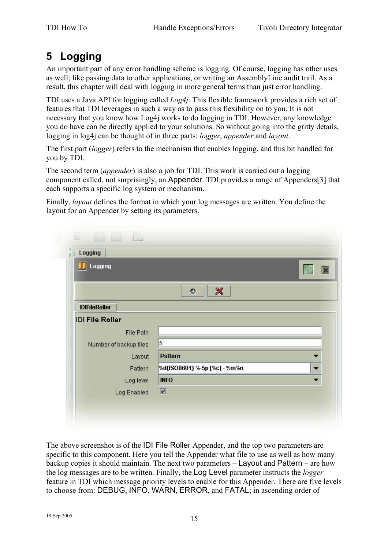## **5 Logging**

An important part of any error handling scheme is logging. Of course, logging has other uses as well; like passing data to other applications, or writing an AssemblyLine audit trail. As a result, this chapter will deal with logging in more general terms than just error handling.

TDI uses a Java API for logging called *Log4j*. This flexible framework provides a rich set of features that TDI leverages in such a way as to pass this flexibility on to you. It is not necessary that you know how Log4j works to do logging in TDI. However, any knowledge you do have can be directly applied to your solutions. So without going into the gritty details, logging in log4j can be thought of in three parts: *logger*, *appender* and *layout*.

The first part (*logger*) refers to the mechanism that enables logging, and this bit handled for you by TDI.

The second term (*appender*) is also a job for TDI. This work is carried out a logging component called, not surprisingly, an Appender. TDI provides a range of Appenders[3] that each supports a specific log system or mechanism.

Finally, *layout* defines the format in which your log messages are written. You define the layout for an Appender by setting its parameters.

| Logging                |                                 |            |
|------------------------|---------------------------------|------------|
| <b>TH</b> Logging      |                                 | $\sqrt{2}$ |
|                        |                                 |            |
|                        | $\boldsymbol{\mathcal{R}}$<br>器 |            |
| <b>IDIFileRoller</b>   |                                 |            |
| <b>IDI File Roller</b> |                                 |            |
| <b>File Path</b>       |                                 |            |
| Number of backup files | 5                               |            |
| Layout                 | <b>Pattern</b>                  |            |
| Pattern                | %d{ISO8601} %-5p [%c] - %m%n    |            |
| Log level              | <b>INFO</b>                     |            |
| Log Enabled            | $\overline{\mathbf{K}}$         |            |

The above screenshot is of the IDI File Roller Appender, and the top two parameters are specific to this component. Here you tell the Appender what file to use as well as how many backup copies it should maintain. The next two parameters – Layout and Pattern – are how the log messages are to be written. Finally, the Log Level parameter instructs the *logger* feature in TDI which message priority levels to enable for this Appender. There are five levels to choose from: DEBUG, INFO, WARN, ERROR, and FATAL; in ascending order of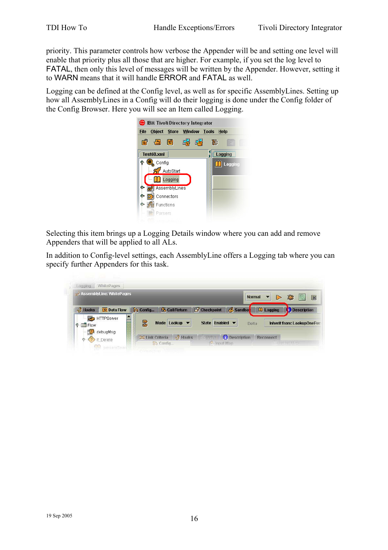priority. This parameter controls how verbose the Appender will be and setting one level will enable that priority plus all those that are higher. For example, if you set the log level to FATAL, then only this level of messages will be written by the Appender. However, setting it to WARN means that it will handle ERROR and FATAL as well.

Logging can be defined at the Config level, as well as for specific AssemblyLines. Setting up how all AssemblyLines in a Config will do their logging is done under the Config folder of the Config Browser. Here you will see an Item called Logging.



Selecting this item brings up a Logging Details window where you can add and remove Appenders that will be applied to all ALs.

In addition to Config-level settings, each AssemblyLine offers a Logging tab where you can specify further Appenders for this task.